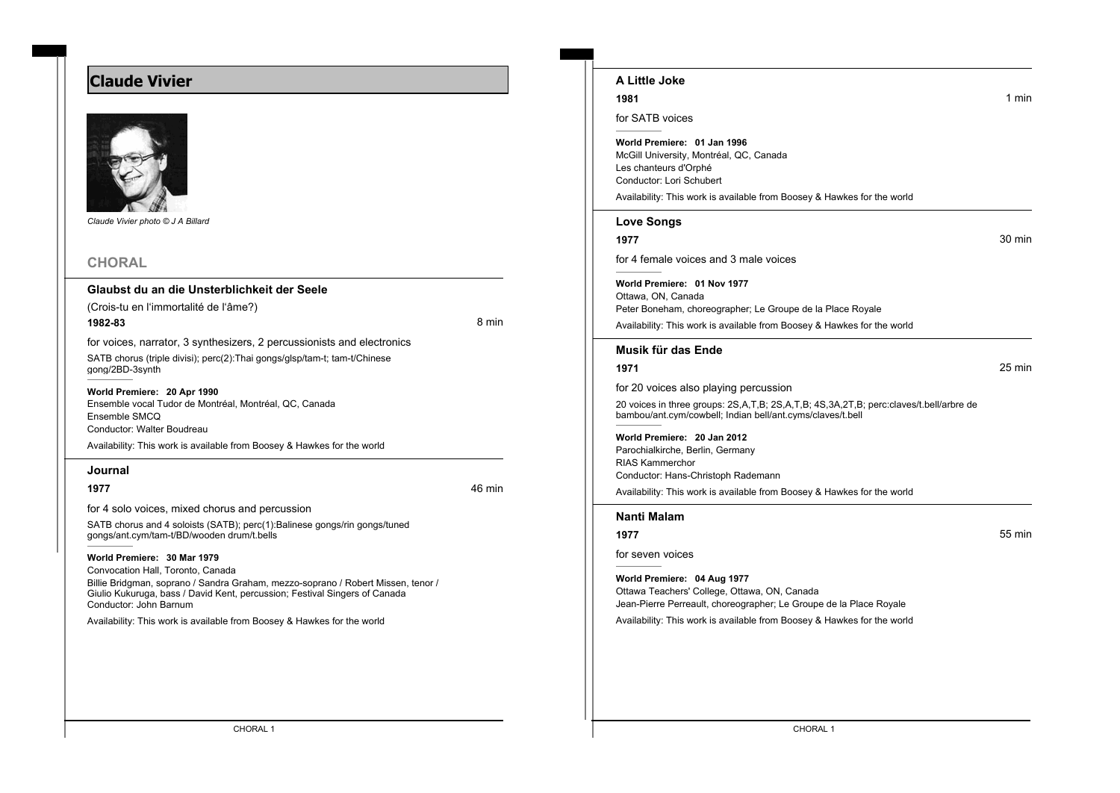# **Claude Vivier**



*Claude Vivier photo © J A Billard*

# **CHORAL**

#### **Glaubst du an die Unsterblichkeit der Seele**

(Crois-tu en l'immortalité de l'âme?)

**1982-83** 8 min

for voices, narrator, 3 synthesizers, 2 percussionists and electronics

SATB chorus (triple divisi); perc(2):Thai gongs/glsp/tam-t; tam-t/Chinese gong/2BD-3synth

#### **World Premiere: 20 Apr 1990**

Ensemble vocal Tudor de Montréal, Montréal, QC, Canada Ensemble SMCQ Conductor: Walter Boudreau Availability: This work is available from Boosey & Hawkes for the world

#### **Journal**

**1977** 46 min

for 4 solo voices, mixed chorus and percussion

SATB chorus and 4 soloists (SATB); perc(1):Balinese gongs/rin gongs/tuned gongs/ant.cym/tam-t/BD/wooden drum/t.bells

### **World Premiere: 30 Mar 1979**

Convocation Hall, Toronto, Canada

Billie Bridgman, soprano / Sandra Graham, mezzo-soprano / Robert Missen, tenor / Giulio Kukuruga, bass / David Kent, percussion; Festival Singers of Canada Conductor: John Barnum

Availability: This work is available from Boosey & Hawkes for the world

# **A Little Joke**

#### **1981** 1981 **1981**

for SATB voices

#### **World Premiere: 01 Jan 1996**

McGill University, Montréal, QC, Canada Les chanteurs d'Orphé Conductor: Lori Schubert

Availability: This work is available from Boosey & Hawkes for the world

#### **Love Songs**

**1977** 30 min

for 4 female voices and 3 male voices

**World Premiere: 01 Nov 1977** Ottawa, ON, Canada Peter Boneham, choreographer; Le Groupe de la Place Royale

Availability: This work is available from Boosey & Hawkes for the world

#### **Musik für das Ende**

#### **1971** 25 min

for 20 voices also playing percussion

20 voices in three groups: 2S,A,T,B; 2S,A,T,B; 4S,3A,2T,B; perc:claves/t.bell/arbre de bambou/ant.cym/cowbell; Indian bell/ant.cyms/claves/t.bell

**World Premiere: 20 Jan 2012** Parochialkirche, Berlin, Germany RIAS Kammerchor Conductor: Hans-Christoph Rademann

Availability: This work is available from Boosey & Hawkes for the world

### **Nanti Malam**

#### **1977** 55 min

for seven voices

**World Premiere: 04 Aug 1977** Ottawa Teachers' College, Ottawa, ON, Canada Jean-Pierre Perreault, choreographer; Le Groupe de la Place Royale

Availability: This work is available from Boosey & Hawkes for the world